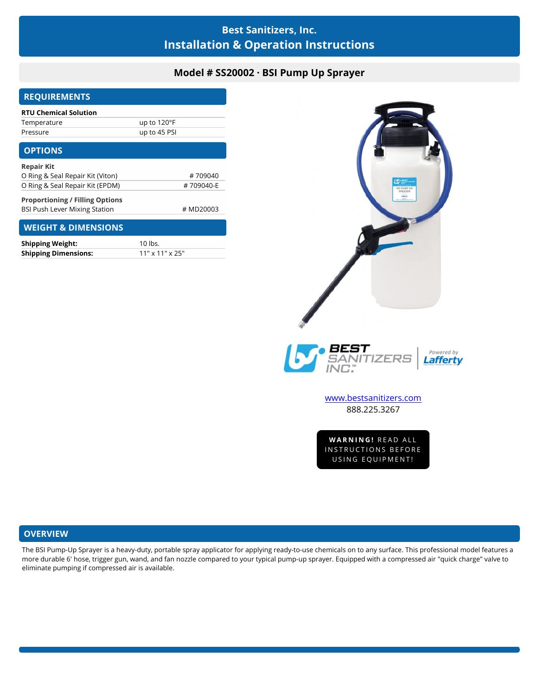# **Best Sanitizers, Inc. Installation & Operation Instructions**

## **Model # SS20002 · BSI Pump Up Sprayer**

| <b>REQUIREMENTS</b>                    |              |
|----------------------------------------|--------------|
| <b>RTU Chemical Solution</b>           |              |
| Temperature                            | up to 120°F  |
| Pressure                               | up to 45 PSI |
| <b>OPTIONS</b>                         |              |
| <b>Repair Kit</b>                      |              |
| O Ring & Seal Repair Kit (Viton)       | #709040      |
| O Ring & Seal Repair Kit (EPDM)        | #709040-E    |
| <b>Proportioning / Filling Options</b> |              |
| <b>BSI Push Lever Mixing Station</b>   | # MD20003    |
| <b>WEIGHT &amp; DIMENSIONS</b>         |              |
| <b>Shinning Weight:</b>                | 10 lbs       |

| <b>Shipping Weight:</b>     | 10 lbs.                     |
|-----------------------------|-----------------------------|
| <b>Shipping Dimensions:</b> | $11" \times 11" \times 25"$ |





[www.bestsanitizers.com](http://www.bestsanitizers.com/) 888.225.3267

WW.Destsanitizers.com<br>888.225.3267<br>WARNING! READ ALL<br>NSTRUCTIONS BEFORE 888.225.3267<br>WARNING! READ ALL<br>INSTRUCTIONS BEFORE<br>USING EQUIPMENT! **VARNING!** READ ALL<br>STRUCTIONS BEFORE<br>USING EQUIPMENT!

### **OVERVIEW**

The BSI Pump-Up Sprayer is a heavy-duty, portable spray applicator for applying ready-to-use chemicals on to any surface. This professional model features a more durable 6' hose, trigger gun, wand, and fan nozzle compared to your typical pump-up sprayer. Equipped with a compressed air "quick charge" valve to eliminate pumping if compressed air is available.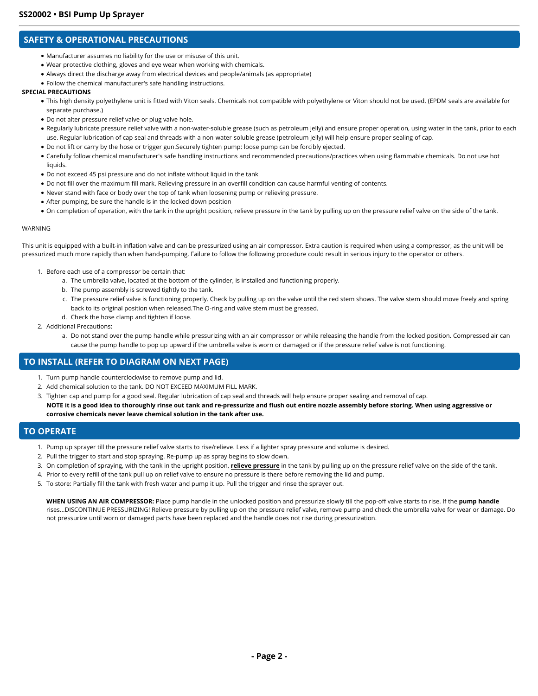### **SAFETY & OPERATIONAL PRECAUTIONS**

- Manufacturer assumes no liability for the use or misuse of this unit.
- Wear protective clothing, gloves and eye wear when working with chemicals.
- Always direct the discharge away from electrical devices and people/animals (as appropriate)
- Follow the chemical manufacturer's safe handling instructions.

#### **SPECIAL PRECAUTIONS**

- This high density polyethylene unit is fitted with Viton seals. Chemicals not compatible with polyethylene or Viton should not be used. (EPDM seals are available for separate purchase.)
- Do not alter pressure relief valve or plug valve hole.
- Regularly lubricate pressure relief valve with a non-water-soluble grease (such as petroleum jelly) and ensure proper operation, using water in the tank, prior to each use. Regular lubrication of cap seal and threads with a non-water-soluble grease (petroleum jelly) will help ensure proper sealing of cap.
- Do not lift or carry by the hose or trigger gun.Securely tighten pump: loose pump can be forcibly ejected.
- Carefully follow chemical manufacturer's safe handling instructions and recommended precautions/practices when using flammable chemicals. Do not use hot liquids.
- Do not exceed 45 psi pressure and do not inflate without liquid in the tank
- Do not fill over the maximum fill mark. Relieving pressure in an overfill condition can cause harmful venting of contents.
- Never stand with face or body over the top of tank when loosening pump or relieving pressure.
- After pumping, be sure the handle is in the locked down position
- On completion of operation, with the tank in the upright position, relieve pressure in the tank by pulling up on the pressure relief valve on the side of the tank.

#### WARNING

This unit is equipped with a built-in inflation valve and can be pressurized using an air compressor. Extra caution is required when using a compressor, as the unit will be pressurized much more rapidly than when hand-pumping. Failure to follow the following procedure could result in serious injury to the operator or others.

- 1. Before each use of a compressor be certain that:
	- a. The umbrella valve, located at the bottom of the cylinder, is installed and functioning properly.
	- b. The pump assembly is screwed tightly to the tank.
	- c. The pressure relief valve is functioning properly. Check by pulling up on the valve until the red stem shows. The valve stem should move freely and spring back to its original position when released.The O-ring and valve stem must be greased.
	- d. Check the hose clamp and tighten if loose.
- 2. Additional Precautions:
	- a. Do not stand over the pump handle while pressurizing with an air compressor or while releasing the handle from the locked position. Compressed air can cause the pump handle to pop up upward if the umbrella valve is worn or damaged or if the pressure relief valve is not functioning.

### **TO INSTALL (REFER TO DIAGRAM ON NEXT PAGE)**

- 1. Turn pump handle counterclockwise to remove pump and lid.
- 2. Add chemical solution to the tank. DO NOT EXCEED MAXIMUM FILL MARK.
- 3. Tighten cap and pump for a good seal. Regular lubrication of cap seal and threads will help ensure proper sealing and removal of cap. **NOTE it is a good idea to thoroughly rinse out tank and re-pressurize and flush out entire nozzle assembly before storing. When using aggressive or corrosive chemicals never leave chemical solution in the tank after use.**

### **TO OPERATE**

- 1. Pump up sprayer till the pressure relief valve starts to rise/relieve. Less if a lighter spray pressure and volume is desired.
- 2. Pull the trigger to start and stop spraying. Re-pump up as spray begins to slow down.
- 3. On completion of spraying, with the tank in the upright position, **relieve pressure** in the tank by pulling up on the pressure relief valve on the side of the tank.
- 4. Prior to every refill of the tank pull up on relief valve to ensure no pressure is there before removing the lid and pump.
- 5. To store: Partially fill the tank with fresh water and pump it up. Pull the trigger and rinse the sprayer out.

**WHEN USING AN AIR COMPRESSOR:** Place pump handle in the unlocked position and pressurize slowly till the pop-off valve starts to rise. If the **pump handle** rises...DISCONTINUE PRESSURIZING! Relieve pressure by pulling up on the pressure relief valve, remove pump and check the umbrella valve for wear or damage. Do not pressurize until worn or damaged parts have been replaced and the handle does not rise during pressurization.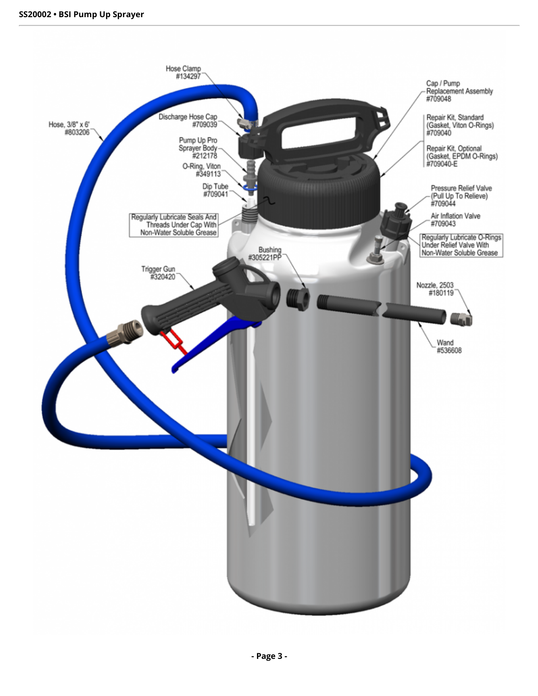